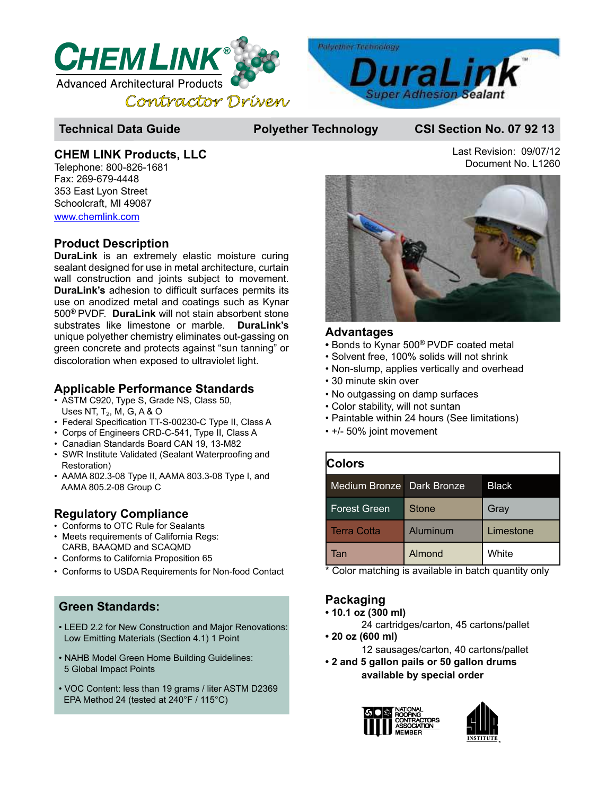

## **Technical Data Guide Polyether Technology CSI Section No. 07 92 13**

### **CHEM LINK Products, LLC**

Telephone: 800-826-1681 Fax: 269-679-4448 353 East Lyon Street Schoolcraft, MI 49087 www.chemlink.com

## **Product Description**

**DuraLink** is an extremely elastic moisture curing sealant designed for use in metal architecture, curtain wall construction and joints subject to movement. **DuraLink's** adhesion to difficult surfaces permits its use on anodized metal and coatings such as Kynar 500® PVDF. **DuraLink** will not stain absorbent stone substrates like limestone or marble. **DuraLink's** unique polyether chemistry eliminates out-gassing on green concrete and protects against "sun tanning" or discoloration when exposed to ultraviolet light.

# **Applicable Performance Standards**

- ASTM C920, Type S, Grade NS, Class 50, Uses NT,  ${\mathsf T}_2$ , M, G, A & O
- Federal Specification TT-S-00230-C Type II, Class A
- Corps of Engineers CRD-C-541, Type II, Class A
- Canadian Standards Board CAN 19, 13-M82
- SWR Institute Validated (Sealant Waterproofing and Restoration)
- AAMA 802.3-08 Type II, AAMA 803.3-08 Type I, and AAMA 805.2-08 Group C

# **Regulatory Compliance**

- Conforms to OTC Rule for Sealants
- Meets requirements of California Regs: CARB, BAAQMD and SCAQMD
- Conforms to California Proposition 65
- Conforms to USDA Requirements for Non-food Contact

# **Green Standards:**

- LEED 2.2 for New Construction and Major Renovations: Low Emitting Materials (Section 4.1) 1 Point
- NAHB Model Green Home Building Guidelines: 5 Global Impact Points
- VOC Content: less than 19 grams / liter ASTM D2369 EPA Method 24 (tested at 240°F / 115°C)

Last Revision: 09/07/12 Document No. L1260



#### **Advantages**

- Bonds to Kynar 500® PVDF coated metal
- Solvent free, 100% solids will not shrink
- Non-slump, applies vertically and overhead
- 30 minute skin over
- No outgassing on damp surfaces
- Color stability, will not suntan
- Paintable within 24 hours (See limitations)
- +/- 50% joint movement

| Colors              |                    |              |  |  |
|---------------------|--------------------|--------------|--|--|
| Medium Bronze       | <b>Dark Bronze</b> | <b>Black</b> |  |  |
| <b>Forest Green</b> | <b>Stone</b>       | Gray         |  |  |
| <b>Terra Cotta</b>  | Aluminum           | Limestone    |  |  |
| Tan                 | <b>Almond</b>      | White        |  |  |

\* Color matching is available in batch quantity only

# **Packaging**

- **10.1 oz (300 ml)**
	- 24 cartridges/carton, 45 cartons/pallet
- **20 oz (600 ml)**

12 sausages/carton, 40 cartons/pallet

**• 2 and 5 gallon pails or 50 gallon drums available by special order**



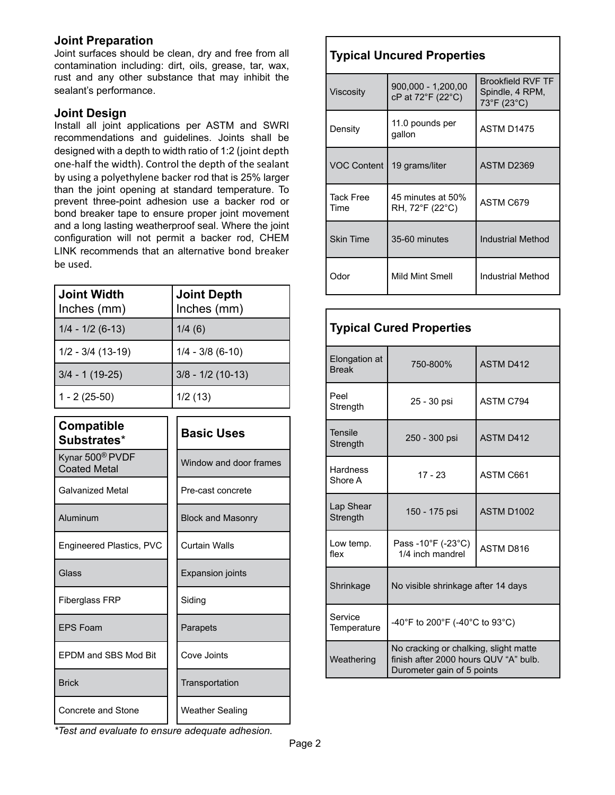### **Joint Preparation**

Joint surfaces should be clean, dry and free from all contamination including: dirt, oils, grease, tar, wax, rust and any other substance that may inhibit the sealant's performance.

#### **Joint Design**

Install all joint applications per ASTM and SWRI recommendations and guidelines. Joints shall be designed with a depth to width ratio of 1:2 (joint depth one-half the width). Control the depth of the sealant by using a polyethylene backer rod that is 25% larger than the joint opening at standard temperature. To prevent three-point adhesion use a backer rod or bond breaker tape to ensure proper joint movement and a long lasting weatherproof seal. Where the joint configuration will not permit a backer rod, CHEM LINK recommends that an alternative bond breaker be used.

| ∣ Joint Width<br>Inches (mm) | <b>Joint Depth</b><br>Inches (mm) |
|------------------------------|-----------------------------------|
| $1/4 - 1/2 (6-13)$           | 1/4(6)                            |
| $1/2 - 3/4$ (13-19)          | $1/4 - 3/8$ (6-10)                |
| $3/4 - 1(19-25)$             | $3/8 - 1/2$ (10-13)               |
| $1 - 2(25-50)$               | 1/2(13)                           |

| <b>Compatible</b><br>Substrates*                   | <b>Basic Uses</b>        |  |
|----------------------------------------------------|--------------------------|--|
| Kynar 500 <sup>®</sup> PVDF<br><b>Coated Metal</b> | Window and door frames   |  |
| <b>Galvanized Metal</b>                            | Pre-cast concrete        |  |
| Aluminum                                           | <b>Block and Masonry</b> |  |
| Engineered Plastics, PVC                           | Curtain Walls            |  |
| Glass                                              | <b>Expansion joints</b>  |  |
| <b>Fiberglass FRP</b>                              | Siding                   |  |
| <b>FPS Foam</b>                                    | Parapets                 |  |
| EPDM and SBS Mod Bit                               | Cove Joints              |  |
| <b>Brick</b>                                       | Transportation           |  |
| Concrete and Stone                                 | <b>Weather Sealing</b>   |  |

# **Typical Uncured Properties**

| <b>Viscositv</b>         | 900,000 - 1,200,00<br>cP at 72°F (22°C) | <b>Brookfield RVF TF</b><br>Spindle, 4 RPM,<br>73°F (23°C) |
|--------------------------|-----------------------------------------|------------------------------------------------------------|
| Density                  | 11.0 pounds per<br>gallon               | ASTM D1475                                                 |
| <b>VOC Content</b>       | 19 grams/liter                          | ASTM D2369                                                 |
| <b>Tack Free</b><br>Time | 45 minutes at 50%<br>RH, 72°F (22°C)    | ASTM C679                                                  |
| <b>Skin Time</b>         | 35-60 minutes                           | <b>Industrial Method</b>                                   |
| Odor                     | Mild Mint Smell                         | Industrial Method                                          |

| <b>Typical Cured Properties</b> |                                                                                                              |                  |  |  |
|---------------------------------|--------------------------------------------------------------------------------------------------------------|------------------|--|--|
| Elongation at<br><b>Break</b>   | 750-800%                                                                                                     | <b>ASTM D412</b> |  |  |
| Peel<br>Strength                | 25 - 30 psi                                                                                                  | ASTM C794        |  |  |
| <b>Tensile</b><br>Strength      | 250 - 300 psi                                                                                                | <b>ASTM D412</b> |  |  |
| <b>Hardness</b><br>Shore A      | $17 - 23$                                                                                                    | ASTM C661        |  |  |
| Lap Shear<br>Strength           | 150 - 175 psi                                                                                                | ASTM D1002       |  |  |
| Low temp.<br>flex               | Pass -10°F (-23°C)<br>1/4 inch mandrel                                                                       | <b>ASTM D816</b> |  |  |
| Shrinkage                       | No visible shrinkage after 14 days                                                                           |                  |  |  |
| Service<br>Temperature          | -40°F to 200°F (-40°C to 93°C)                                                                               |                  |  |  |
| Weathering                      | No cracking or chalking, slight matte<br>finish after 2000 hours QUV "A" bulb.<br>Durometer gain of 5 points |                  |  |  |

*\*Test and evaluate to ensure adequate adhesion.*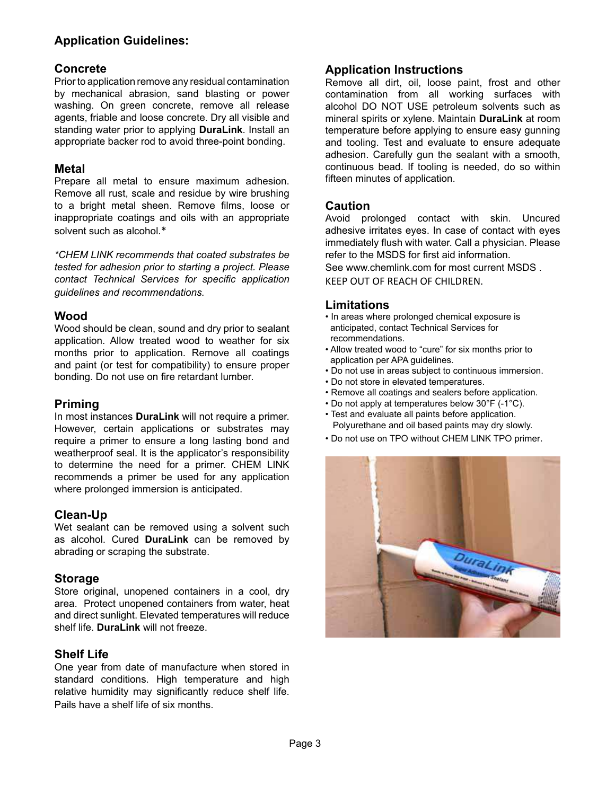# **Application Guidelines:**

### **Concrete**

Prior to application remove any residual contamination by mechanical abrasion, sand blasting or power washing. On green concrete, remove all release agents, friable and loose concrete. Dry all visible and standing water prior to applying **DuraLink**. Install an appropriate backer rod to avoid three-point bonding.

#### **Metal**

Prepare all metal to ensure maximum adhesion. Remove all rust, scale and residue by wire brushing to a bright metal sheen. Remove films, loose or inappropriate coatings and oils with an appropriate solvent such as alcohol.\*

*\*CHEM LINK recommends that coated substrates be tested for adhesion prior to starting a project. Please contact Technical Services for specific application guidelines and recommendations.*

### **Wood**

Wood should be clean, sound and dry prior to sealant application. Allow treated wood to weather for six months prior to application. Remove all coatings and paint (or test for compatibility) to ensure proper bonding. Do not use on fire retardant lumber.

## **Priming**

In most instances **DuraLink** will not require a primer. However, certain applications or substrates may require a primer to ensure a long lasting bond and weatherproof seal. It is the applicator's responsibility to determine the need for a primer. CHEM LINK recommends a primer be used for any application where prolonged immersion is anticipated.

#### **Clean-Up**

Wet sealant can be removed using a solvent such as alcohol. Cured **DuraLink** can be removed by abrading or scraping the substrate.

#### **Storage**

Store original, unopened containers in a cool, dry area. Protect unopened containers from water, heat and direct sunlight. Elevated temperatures will reduce shelf life. **DuraLink** will not freeze.

## **Shelf Life**

One year from date of manufacture when stored in standard conditions. High temperature and high relative humidity may significantly reduce shelf life. Pails have a shelf life of six months.

## **Application Instructions**

Remove all dirt, oil, loose paint, frost and other contamination from all working surfaces with alcohol DO NOT USE petroleum solvents such as mineral spirits or xylene. Maintain **DuraLink** at room temperature before applying to ensure easy gunning and tooling. Test and evaluate to ensure adequate adhesion. Carefully gun the sealant with a smooth, continuous bead. If tooling is needed, do so within fifteen minutes of application.

### **Caution**

Avoid prolonged contact with skin. Uncured adhesive irritates eyes. In case of contact with eyes immediately flush with water. Call a physician. Please refer to the MSDS for first aid information. See www.chemlink.com for most current MSDS KEEP OUT OF REACH OF CHILDREN.

### **Limitations**

- In areas where prolonged chemical exposure is anticipated, contact Technical Services for recommendations.
- Allow treated wood to "cure" for six months prior to application per APA guidelines.
- Do not use in areas subject to continuous immersion.
- Do not store in elevated temperatures.
- Remove all coatings and sealers before application.
- Do not apply at temperatures below 30°F (-1°C).
- Test and evaluate all paints before application. Polyurethane and oil based paints may dry slowly.
- Do not use on TPO without CHEM LINK TPO primer.